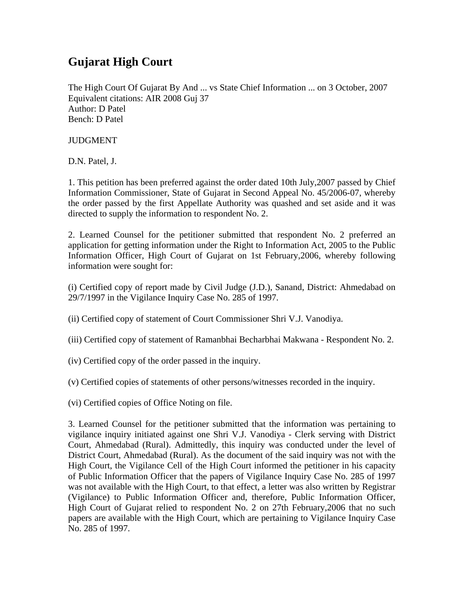## **Gujarat High Court**

The High Court Of Gujarat By And ... vs State Chief Information ... on 3 October, 2007 Equivalent citations: AIR 2008 Guj 37 Author: D Patel Bench: D Patel

JUDGMENT

D.N. Patel, J.

1. This petition has been preferred against the order dated 10th July,2007 passed by Chief Information Commissioner, State of Gujarat in Second Appeal No. 45/2006-07, whereby the order passed by the first Appellate Authority was quashed and set aside and it was directed to supply the information to respondent No. 2.

2. Learned Counsel for the petitioner submitted that respondent No. 2 preferred an application for getting information under the Right to Information Act, 2005 to the Public Information Officer, High Court of Gujarat on 1st February,2006, whereby following information were sought for:

(i) Certified copy of report made by Civil Judge (J.D.), Sanand, District: Ahmedabad on 29/7/1997 in the Vigilance Inquiry Case No. 285 of 1997.

(ii) Certified copy of statement of Court Commissioner Shri V.J. Vanodiya.

(iii) Certified copy of statement of Ramanbhai Becharbhai Makwana - Respondent No. 2.

(iv) Certified copy of the order passed in the inquiry.

(v) Certified copies of statements of other persons/witnesses recorded in the inquiry.

(vi) Certified copies of Office Noting on file.

3. Learned Counsel for the petitioner submitted that the information was pertaining to vigilance inquiry initiated against one Shri V.J. Vanodiya - Clerk serving with District Court, Ahmedabad (Rural). Admittedly, this inquiry was conducted under the level of District Court, Ahmedabad (Rural). As the document of the said inquiry was not with the High Court, the Vigilance Cell of the High Court informed the petitioner in his capacity of Public Information Officer that the papers of Vigilance Inquiry Case No. 285 of 1997 was not available with the High Court, to that effect, a letter was also written by Registrar (Vigilance) to Public Information Officer and, therefore, Public Information Officer, High Court of Gujarat relied to respondent No. 2 on 27th February,2006 that no such papers are available with the High Court, which are pertaining to Vigilance Inquiry Case No. 285 of 1997.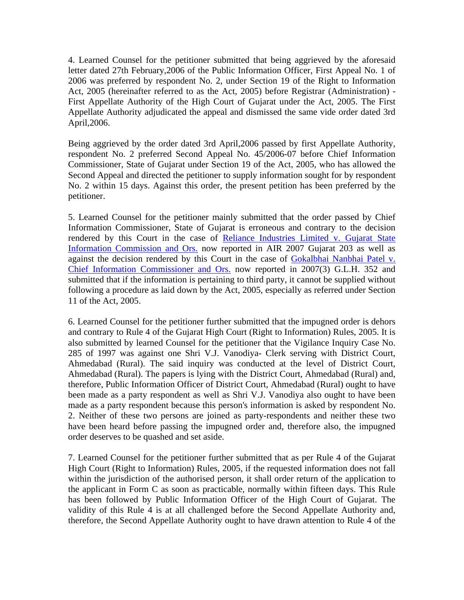4. Learned Counsel for the petitioner submitted that being aggrieved by the aforesaid letter dated 27th February,2006 of the Public Information Officer, First Appeal No. 1 of 2006 was preferred by respondent No. 2, under Section 19 of the Right to Information Act, 2005 (hereinafter referred to as the Act, 2005) before Registrar (Administration) - First Appellate Authority of the High Court of Gujarat under the Act, 2005. The First Appellate Authority adjudicated the appeal and dismissed the same vide order dated 3rd April,2006.

Being aggrieved by the order dated 3rd April,2006 passed by first Appellate Authority, respondent No. 2 preferred Second Appeal No. 45/2006-07 before Chief Information Commissioner, State of Gujarat under Section 19 of the Act, 2005, who has allowed the Second Appeal and directed the petitioner to supply information sought for by respondent No. 2 within 15 days. Against this order, the present petition has been preferred by the petitioner.

5. Learned Counsel for the petitioner mainly submitted that the order passed by Chief Information Commissioner, State of Gujarat is erroneous and contrary to the decision rendered by this Court in the case of Reliance Industries Limited v. Gujarat State Information Commission and Ors. now reported in AIR 2007 Gujarat 203 as well as against the decision rendered by this Court in the case of Gokalbhai Nanbhai Patel v. Chief Information Commissioner and Ors. now reported in 2007(3) G.L.H. 352 and submitted that if the information is pertaining to third party, it cannot be supplied without following a procedure as laid down by the Act, 2005, especially as referred under Section 11 of the Act, 2005.

6. Learned Counsel for the petitioner further submitted that the impugned order is dehors and contrary to Rule 4 of the Gujarat High Court (Right to Information) Rules, 2005. It is also submitted by learned Counsel for the petitioner that the Vigilance Inquiry Case No. 285 of 1997 was against one Shri V.J. Vanodiya- Clerk serving with District Court, Ahmedabad (Rural). The said inquiry was conducted at the level of District Court, Ahmedabad (Rural). The papers is lying with the District Court, Ahmedabad (Rural) and, therefore, Public Information Officer of District Court, Ahmedabad (Rural) ought to have been made as a party respondent as well as Shri V.J. Vanodiya also ought to have been made as a party respondent because this person's information is asked by respondent No. 2. Neither of these two persons are joined as party-respondents and neither these two have been heard before passing the impugned order and, therefore also, the impugned order deserves to be quashed and set aside.

7. Learned Counsel for the petitioner further submitted that as per Rule 4 of the Gujarat High Court (Right to Information) Rules, 2005, if the requested information does not fall within the jurisdiction of the authorised person, it shall order return of the application to the applicant in Form C as soon as practicable, normally within fifteen days. This Rule has been followed by Public Information Officer of the High Court of Gujarat. The validity of this Rule 4 is at all challenged before the Second Appellate Authority and, therefore, the Second Appellate Authority ought to have drawn attention to Rule 4 of the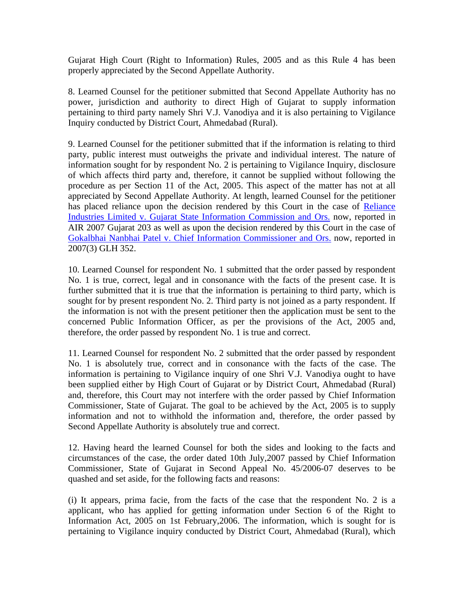Gujarat High Court (Right to Information) Rules, 2005 and as this Rule 4 has been properly appreciated by the Second Appellate Authority.

8. Learned Counsel for the petitioner submitted that Second Appellate Authority has no power, jurisdiction and authority to direct High of Gujarat to supply information pertaining to third party namely Shri V.J. Vanodiya and it is also pertaining to Vigilance Inquiry conducted by District Court, Ahmedabad (Rural).

9. Learned Counsel for the petitioner submitted that if the information is relating to third party, public interest must outweighs the private and individual interest. The nature of information sought for by respondent No. 2 is pertaining to Vigilance Inquiry, disclosure of which affects third party and, therefore, it cannot be supplied without following the procedure as per Section 11 of the Act, 2005. This aspect of the matter has not at all appreciated by Second Appellate Authority. At length, learned Counsel for the petitioner has placed reliance upon the decision rendered by this Court in the case of Reliance Industries Limited v. Gujarat State Information Commission and Ors. now, reported in AIR 2007 Gujarat 203 as well as upon the decision rendered by this Court in the case of Gokalbhai Nanbhai Patel v. Chief Information Commissioner and Ors. now, reported in 2007(3) GLH 352.

10. Learned Counsel for respondent No. 1 submitted that the order passed by respondent No. 1 is true, correct, legal and in consonance with the facts of the present case. It is further submitted that it is true that the information is pertaining to third party, which is sought for by present respondent No. 2. Third party is not joined as a party respondent. If the information is not with the present petitioner then the application must be sent to the concerned Public Information Officer, as per the provisions of the Act, 2005 and, therefore, the order passed by respondent No. 1 is true and correct.

11. Learned Counsel for respondent No. 2 submitted that the order passed by respondent No. 1 is absolutely true, correct and in consonance with the facts of the case. The information is pertaining to Vigilance inquiry of one Shri V.J. Vanodiya ought to have been supplied either by High Court of Gujarat or by District Court, Ahmedabad (Rural) and, therefore, this Court may not interfere with the order passed by Chief Information Commissioner, State of Gujarat. The goal to be achieved by the Act, 2005 is to supply information and not to withhold the information and, therefore, the order passed by Second Appellate Authority is absolutely true and correct.

12. Having heard the learned Counsel for both the sides and looking to the facts and circumstances of the case, the order dated 10th July,2007 passed by Chief Information Commissioner, State of Gujarat in Second Appeal No. 45/2006-07 deserves to be quashed and set aside, for the following facts and reasons:

(i) It appears, prima facie, from the facts of the case that the respondent No. 2 is a applicant, who has applied for getting information under Section 6 of the Right to Information Act, 2005 on 1st February,2006. The information, which is sought for is pertaining to Vigilance inquiry conducted by District Court, Ahmedabad (Rural), which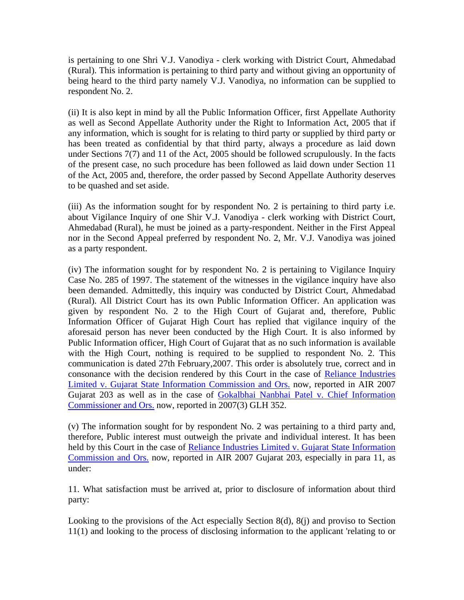is pertaining to one Shri V.J. Vanodiya - clerk working with District Court, Ahmedabad (Rural). This information is pertaining to third party and without giving an opportunity of being heard to the third party namely V.J. Vanodiya, no information can be supplied to respondent No. 2.

(ii) It is also kept in mind by all the Public Information Officer, first Appellate Authority as well as Second Appellate Authority under the Right to Information Act, 2005 that if any information, which is sought for is relating to third party or supplied by third party or has been treated as confidential by that third party, always a procedure as laid down under Sections 7(7) and 11 of the Act, 2005 should be followed scrupulously. In the facts of the present case, no such procedure has been followed as laid down under Section 11 of the Act, 2005 and, therefore, the order passed by Second Appellate Authority deserves to be quashed and set aside.

(iii) As the information sought for by respondent No. 2 is pertaining to third party i.e. about Vigilance Inquiry of one Shir V.J. Vanodiya - clerk working with District Court, Ahmedabad (Rural), he must be joined as a party-respondent. Neither in the First Appeal nor in the Second Appeal preferred by respondent No. 2, Mr. V.J. Vanodiya was joined as a party respondent.

(iv) The information sought for by respondent No. 2 is pertaining to Vigilance Inquiry Case No. 285 of 1997. The statement of the witnesses in the vigilance inquiry have also been demanded. Admittedly, this inquiry was conducted by District Court, Ahmedabad (Rural). All District Court has its own Public Information Officer. An application was given by respondent No. 2 to the High Court of Gujarat and, therefore, Public Information Officer of Gujarat High Court has replied that vigilance inquiry of the aforesaid person has never been conducted by the High Court. It is also informed by Public Information officer, High Court of Gujarat that as no such information is available with the High Court, nothing is required to be supplied to respondent No. 2. This communication is dated 27th February,2007. This order is absolutely true, correct and in consonance with the decision rendered by this Court in the case of Reliance Industries Limited v. Gujarat State Information Commission and Ors. now, reported in AIR 2007 Gujarat 203 as well as in the case of Gokalbhai Nanbhai Patel v. Chief Information Commissioner and Ors. now, reported in 2007(3) GLH 352.

(v) The information sought for by respondent No. 2 was pertaining to a third party and, therefore, Public interest must outweigh the private and individual interest. It has been held by this Court in the case of Reliance Industries Limited v. Gujarat State Information Commission and Ors. now, reported in AIR 2007 Gujarat 203, especially in para 11, as under:

11. What satisfaction must be arrived at, prior to disclosure of information about third party:

Looking to the provisions of the Act especially Section 8(d), 8(j) and proviso to Section 11(1) and looking to the process of disclosing information to the applicant 'relating to or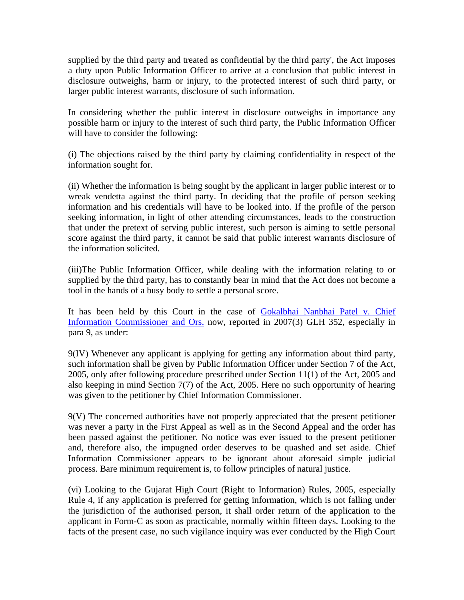supplied by the third party and treated as confidential by the third party', the Act imposes a duty upon Public Information Officer to arrive at a conclusion that public interest in disclosure outweighs, harm or injury, to the protected interest of such third party, or larger public interest warrants, disclosure of such information.

In considering whether the public interest in disclosure outweighs in importance any possible harm or injury to the interest of such third party, the Public Information Officer will have to consider the following:

(i) The objections raised by the third party by claiming confidentiality in respect of the information sought for.

(ii) Whether the information is being sought by the applicant in larger public interest or to wreak vendetta against the third party. In deciding that the profile of person seeking information and his credentials will have to be looked into. If the profile of the person seeking information, in light of other attending circumstances, leads to the construction that under the pretext of serving public interest, such person is aiming to settle personal score against the third party, it cannot be said that public interest warrants disclosure of the information solicited.

(iii)The Public Information Officer, while dealing with the information relating to or supplied by the third party, has to constantly bear in mind that the Act does not become a tool in the hands of a busy body to settle a personal score.

It has been held by this Court in the case of Gokalbhai Nanbhai Patel v. Chief Information Commissioner and Ors. now, reported in 2007(3) GLH 352, especially in para 9, as under:

9(IV) Whenever any applicant is applying for getting any information about third party, such information shall be given by Public Information Officer under Section 7 of the Act, 2005, only after following procedure prescribed under Section 11(1) of the Act, 2005 and also keeping in mind Section 7(7) of the Act, 2005. Here no such opportunity of hearing was given to the petitioner by Chief Information Commissioner.

9(V) The concerned authorities have not properly appreciated that the present petitioner was never a party in the First Appeal as well as in the Second Appeal and the order has been passed against the petitioner. No notice was ever issued to the present petitioner and, therefore also, the impugned order deserves to be quashed and set aside. Chief Information Commissioner appears to be ignorant about aforesaid simple judicial process. Bare minimum requirement is, to follow principles of natural justice.

(vi) Looking to the Gujarat High Court (Right to Information) Rules, 2005, especially Rule 4, if any application is preferred for getting information, which is not falling under the jurisdiction of the authorised person, it shall order return of the application to the applicant in Form-C as soon as practicable, normally within fifteen days. Looking to the facts of the present case, no such vigilance inquiry was ever conducted by the High Court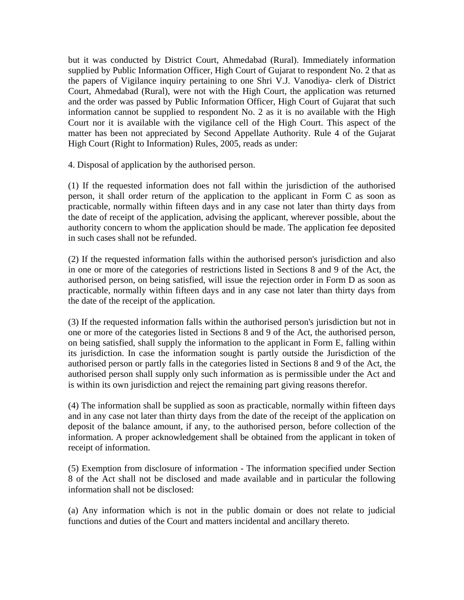but it was conducted by District Court, Ahmedabad (Rural). Immediately information supplied by Public Information Officer, High Court of Gujarat to respondent No. 2 that as the papers of Vigilance inquiry pertaining to one Shri V.J. Vanodiya- clerk of District Court, Ahmedabad (Rural), were not with the High Court, the application was returned and the order was passed by Public Information Officer, High Court of Gujarat that such information cannot be supplied to respondent No. 2 as it is no available with the High Court nor it is available with the vigilance cell of the High Court. This aspect of the matter has been not appreciated by Second Appellate Authority. Rule 4 of the Gujarat High Court (Right to Information) Rules, 2005, reads as under:

4. Disposal of application by the authorised person.

(1) If the requested information does not fall within the jurisdiction of the authorised person, it shall order return of the application to the applicant in Form C as soon as practicable, normally within fifteen days and in any case not later than thirty days from the date of receipt of the application, advising the applicant, wherever possible, about the authority concern to whom the application should be made. The application fee deposited in such cases shall not be refunded.

(2) If the requested information falls within the authorised person's jurisdiction and also in one or more of the categories of restrictions listed in Sections 8 and 9 of the Act, the authorised person, on being satisfied, will issue the rejection order in Form D as soon as practicable, normally within fifteen days and in any case not later than thirty days from the date of the receipt of the application.

(3) If the requested information falls within the authorised person's jurisdiction but not in one or more of the categories listed in Sections 8 and 9 of the Act, the authorised person, on being satisfied, shall supply the information to the applicant in Form E, falling within its jurisdiction. In case the information sought is partly outside the Jurisdiction of the authorised person or partly falls in the categories listed in Sections 8 and 9 of the Act, the authorised person shall supply only such information as is permissible under the Act and is within its own jurisdiction and reject the remaining part giving reasons therefor.

(4) The information shall be supplied as soon as practicable, normally within fifteen days and in any case not later than thirty days from the date of the receipt of the application on deposit of the balance amount, if any, to the authorised person, before collection of the information. A proper acknowledgement shall be obtained from the applicant in token of receipt of information.

(5) Exemption from disclosure of information - The information specified under Section 8 of the Act shall not be disclosed and made available and in particular the following information shall not be disclosed:

(a) Any information which is not in the public domain or does not relate to judicial functions and duties of the Court and matters incidental and ancillary thereto.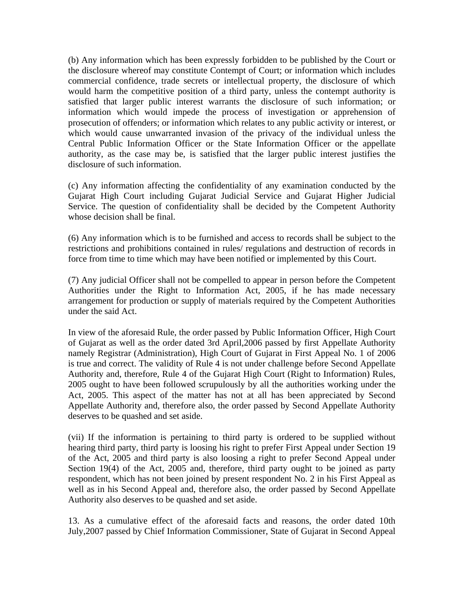(b) Any information which has been expressly forbidden to be published by the Court or the disclosure whereof may constitute Contempt of Court; or information which includes commercial confidence, trade secrets or intellectual property, the disclosure of which would harm the competitive position of a third party, unless the contempt authority is satisfied that larger public interest warrants the disclosure of such information; or information which would impede the process of investigation or apprehension of prosecution of offenders; or information which relates to any public activity or interest, or which would cause unwarranted invasion of the privacy of the individual unless the Central Public Information Officer or the State Information Officer or the appellate authority, as the case may be, is satisfied that the larger public interest justifies the disclosure of such information.

(c) Any information affecting the confidentiality of any examination conducted by the Gujarat High Court including Gujarat Judicial Service and Gujarat Higher Judicial Service. The question of confidentiality shall be decided by the Competent Authority whose decision shall be final.

(6) Any information which is to be furnished and access to records shall be subject to the restrictions and prohibitions contained in rules/ regulations and destruction of records in force from time to time which may have been notified or implemented by this Court.

(7) Any judicial Officer shall not be compelled to appear in person before the Competent Authorities under the Right to Information Act, 2005, if he has made necessary arrangement for production or supply of materials required by the Competent Authorities under the said Act.

In view of the aforesaid Rule, the order passed by Public Information Officer, High Court of Gujarat as well as the order dated 3rd April,2006 passed by first Appellate Authority namely Registrar (Administration), High Court of Gujarat in First Appeal No. 1 of 2006 is true and correct. The validity of Rule 4 is not under challenge before Second Appellate Authority and, therefore, Rule 4 of the Gujarat High Court (Right to Information) Rules, 2005 ought to have been followed scrupulously by all the authorities working under the Act, 2005. This aspect of the matter has not at all has been appreciated by Second Appellate Authority and, therefore also, the order passed by Second Appellate Authority deserves to be quashed and set aside.

(vii) If the information is pertaining to third party is ordered to be supplied without hearing third party, third party is loosing his right to prefer First Appeal under Section 19 of the Act, 2005 and third party is also loosing a right to prefer Second Appeal under Section 19(4) of the Act, 2005 and, therefore, third party ought to be joined as party respondent, which has not been joined by present respondent No. 2 in his First Appeal as well as in his Second Appeal and, therefore also, the order passed by Second Appellate Authority also deserves to be quashed and set aside.

13. As a cumulative effect of the aforesaid facts and reasons, the order dated 10th July,2007 passed by Chief Information Commissioner, State of Gujarat in Second Appeal